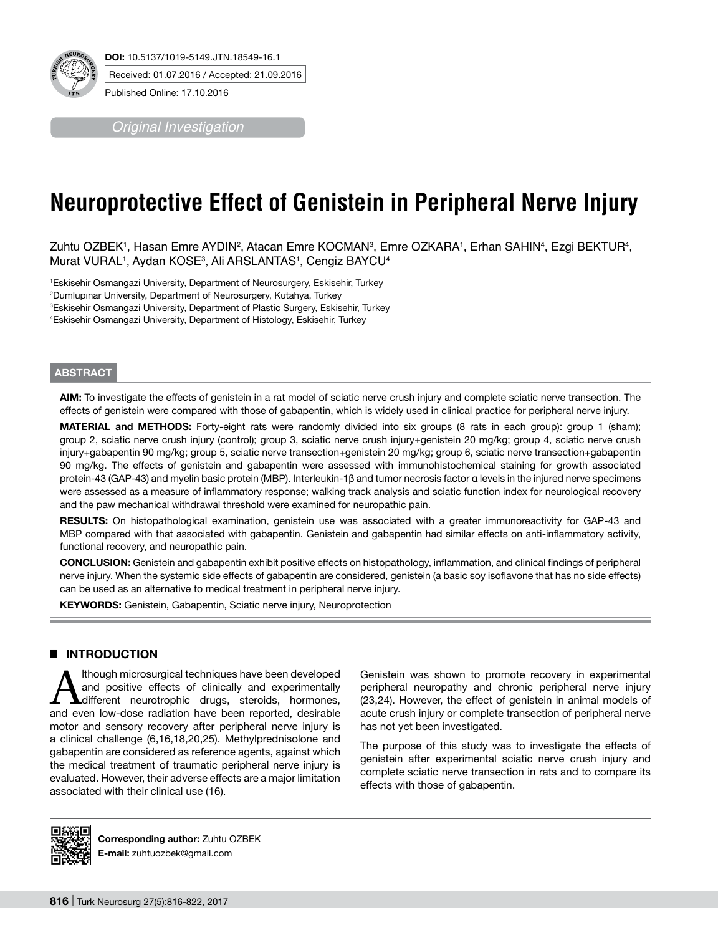

*Original Investigation*

# **Neuroprotective Effect of Genistein in Peripheral Nerve Injury**

Zuhtu OZBEK', Hasan Emre AYDIN<sup>2</sup>, Atacan Emre KOCMAN<sup>3</sup>, Emre OZKARA', Erhan SAHIN<del>'</del>, Ezgi BEKTUR<del>'</del>, Murat VURAL1, Aydan KOSE3, Ali ARSLANTAS1, Cengiz BAYCU4

 Eskisehir Osmangazi University, Department of Neurosurgery, Eskisehir, Turkey Dumlupınar University, Department of Neurosurgery, Kutahya, Turkey Eskisehir Osmangazi University, Department of Plastic Surgery, Eskisehir, Turkey Eskisehir Osmangazi University, Department of Histology, Eskisehir, Turkey

# **ABSTRACT**

**AIm:** To investigate the effects of genistein in a rat model of sciatic nerve crush injury and complete sciatic nerve transection. The effects of genistein were compared with those of gabapentin, which is widely used in clinical practice for peripheral nerve injury.

**MATERIAL and METHODS:** Forty-eight rats were randomly divided into six groups (8 rats in each group): group 1 (sham); group 2, sciatic nerve crush injury (control); group 3, sciatic nerve crush injury+genistein 20 mg/kg; group 4, sciatic nerve crush injury+gabapentin 90 mg/kg; group 5, sciatic nerve transection+genistein 20 mg/kg; group 6, sciatic nerve transection+gabapentin 90 mg/kg. The effects of genistein and gabapentin were assessed with immunohistochemical staining for growth associated protein-43 (GAP-43) and myelin basic protein (MBP). Interleukin-1β and tumor necrosis factor α levels in the injured nerve specimens were assessed as a measure of inflammatory response; walking track analysis and sciatic function index for neurological recovery and the paw mechanical withdrawal threshold were examined for neuropathic pain.

**RESULTS:** On histopathological examination, genistein use was associated with a greater immunoreactivity for GAP-43 and MBP compared with that associated with gabapentin. Genistein and gabapentin had similar effects on anti-inflammatory activity, functional recovery, and neuropathic pain.

**ConclusIon:** Genistein and gabapentin exhibit positive effects on histopathology, inflammation, and clinical findings of peripheral nerve injury. When the systemic side effects of gabapentin are considered, genistein (a basic soy isoflavone that has no side effects) can be used as an alternative to medical treatment in peripheral nerve injury.

KEYWORDS: Genistein, Gabapentin, Sciatic nerve injury, Neuroprotection

# █ **INTRODUCTION**

Although microsurgical techniques have been developed<br>and positive effects of clinically and experimentally<br>different neurotrophic drugs, steroids, hormones, and positive effects of clinically and experimentally **Adifferent** neurotrophic drugs, steroids, hormones, and even low-dose radiation have been reported, desirable motor and sensory recovery after peripheral nerve injury is a clinical challenge (6,16,18,20,25). Methylprednisolone and gabapentin are considered as reference agents, against which the medical treatment of traumatic peripheral nerve injury is evaluated. However, their adverse effects are a major limitation associated with their clinical use (16).

Genistein was shown to promote recovery in experimental peripheral neuropathy and chronic peripheral nerve injury (23,24). However, the effect of genistein in animal models of acute crush injury or complete transection of peripheral nerve has not yet been investigated.

The purpose of this study was to investigate the effects of genistein after experimental sciatic nerve crush injury and complete sciatic nerve transection in rats and to compare its effects with those of gabapentin.



**Corresponding author:** Zuhtu OZBEK **E-mail:** zuhtuozbek@gmail.com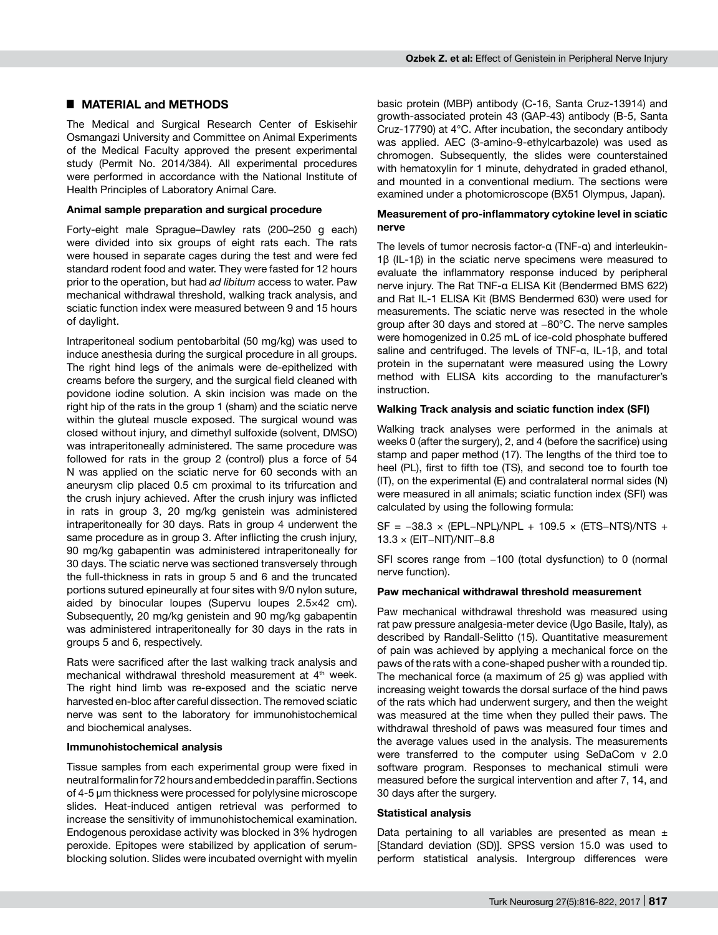# █ **MATERIAL and METHODS**

The Medical and Surgical Research Center of Eskisehir Osmangazi University and Committee on Animal Experiments of the Medical Faculty approved the present experimental study (Permit No. 2014/384). All experimental procedures were performed in accordance with the National Institute of Health Principles of Laboratory Animal Care.

## **Animal sample preparation and surgical procedure**

Forty-eight male Sprague–Dawley rats (200–250 g each) were divided into six groups of eight rats each. The rats were housed in separate cages during the test and were fed standard rodent food and water. They were fasted for 12 hours prior to the operation, but had *ad libitum* access to water. Paw mechanical withdrawal threshold, walking track analysis, and sciatic function index were measured between 9 and 15 hours of daylight.

Intraperitoneal sodium pentobarbital (50 mg/kg) was used to induce anesthesia during the surgical procedure in all groups. The right hind legs of the animals were de-epithelized with creams before the surgery, and the surgical field cleaned with povidone iodine solution. A skin incision was made on the right hip of the rats in the group 1 (sham) and the sciatic nerve within the gluteal muscle exposed. The surgical wound was closed without injury, and dimethyl sulfoxide (solvent, DMSO) was intraperitoneally administered. The same procedure was followed for rats in the group 2 (control) plus a force of 54 N was applied on the sciatic nerve for 60 seconds with an aneurysm clip placed 0.5 cm proximal to its trifurcation and the crush injury achieved. After the crush injury was inflicted in rats in group 3, 20 mg/kg genistein was administered intraperitoneally for 30 days. Rats in group 4 underwent the same procedure as in group 3. After inflicting the crush injury, 90 mg/kg gabapentin was administered intraperitoneally for 30 days. The sciatic nerve was sectioned transversely through the full-thickness in rats in group 5 and 6 and the truncated portions sutured epineurally at four sites with 9/0 nylon suture, aided by binocular loupes (Supervu loupes 2.5×42 cm). Subsequently, 20 mg/kg genistein and 90 mg/kg gabapentin was administered intraperitoneally for 30 days in the rats in groups 5 and 6, respectively.

Rats were sacrificed after the last walking track analysis and mechanical withdrawal threshold measurement at 4<sup>th</sup> week. The right hind limb was re-exposed and the sciatic nerve harvested en-bloc after careful dissection. The removed sciatic nerve was sent to the laboratory for immunohistochemical and biochemical analyses.

## **Immunohistochemical analysis**

Tissue samples from each experimental group were fixed in neutral formalin for 72 hours and embedded in paraffin. Sections of 4-5 µm thickness were processed for polylysine microscope slides. Heat-induced antigen retrieval was performed to increase the sensitivity of immunohistochemical examination. Endogenous peroxidase activity was blocked in 3% hydrogen peroxide. Epitopes were stabilized by application of serumblocking solution. Slides were incubated overnight with myelin

basic protein (MBP) antibody (C-16, Santa Cruz-13914) and growth-associated protein 43 (GAP-43) antibody (B-5, Santa Cruz-17790) at 4°C. After incubation, the secondary antibody was applied. AEC (3-amino-9-ethylcarbazole) was used as chromogen. Subsequently, the slides were counterstained with hematoxylin for 1 minute, dehydrated in graded ethanol, and mounted in a conventional medium. The sections were examined under a photomicroscope (BX51 Olympus, Japan).

#### **Measurement of pro-inflammatory cytokine level in sciatic nerve**

The levels of tumor necrosis factor-α (TNF-α) and interleukin-1β (IL-1β) in the sciatic nerve specimens were measured to evaluate the inflammatory response induced by peripheral nerve injury. The Rat TNF-α ELISA Kit (Bendermed BMS 622) and Rat IL-1 ELISA Kit (BMS Bendermed 630) were used for measurements. The sciatic nerve was resected in the whole group after 30 days and stored at −80°C. The nerve samples were homogenized in 0.25 mL of ice-cold phosphate buffered saline and centrifuged. The levels of TNF-α, IL-1β, and total protein in the supernatant were measured using the Lowry method with ELISA kits according to the manufacturer's instruction.

## **Walking Track analysis and sciatic function index (SFI)**

Walking track analyses were performed in the animals at weeks 0 (after the surgery), 2, and 4 (before the sacrifice) using stamp and paper method (17). The lengths of the third toe to heel (PL), first to fifth toe (TS), and second toe to fourth toe (IT), on the experimental (E) and contralateral normal sides (N) were measured in all animals; sciatic function index (SFI) was calculated by using the following formula:

SF = −38.3 × (EPL−NPL)/NPL + 109.5 × (ETS−NTS)/NTS + 13.3 × (EIT−NIT)/NIT−8.8

SFI scores range from −100 (total dysfunction) to 0 (normal nerve function).

## **Paw mechanical withdrawal threshold measurement**

Paw mechanical withdrawal threshold was measured using rat paw pressure analgesia-meter device (Ugo Basile, Italy), as described by Randall-Selitto (15). Quantitative measurement of pain was achieved by applying a mechanical force on the paws of the rats with a cone-shaped pusher with a rounded tip. The mechanical force (a maximum of 25 g) was applied with increasing weight towards the dorsal surface of the hind paws of the rats which had underwent surgery, and then the weight was measured at the time when they pulled their paws. The withdrawal threshold of paws was measured four times and the average values used in the analysis. The measurements were transferred to the computer using SeDaCom v 2.0 software program. Responses to mechanical stimuli were measured before the surgical intervention and after 7, 14, and 30 days after the surgery.

#### **Statistical analysis**

Data pertaining to all variables are presented as mean  $\pm$ [Standard deviation (SD)]. SPSS version 15.0 was used to perform statistical analysis. Intergroup differences were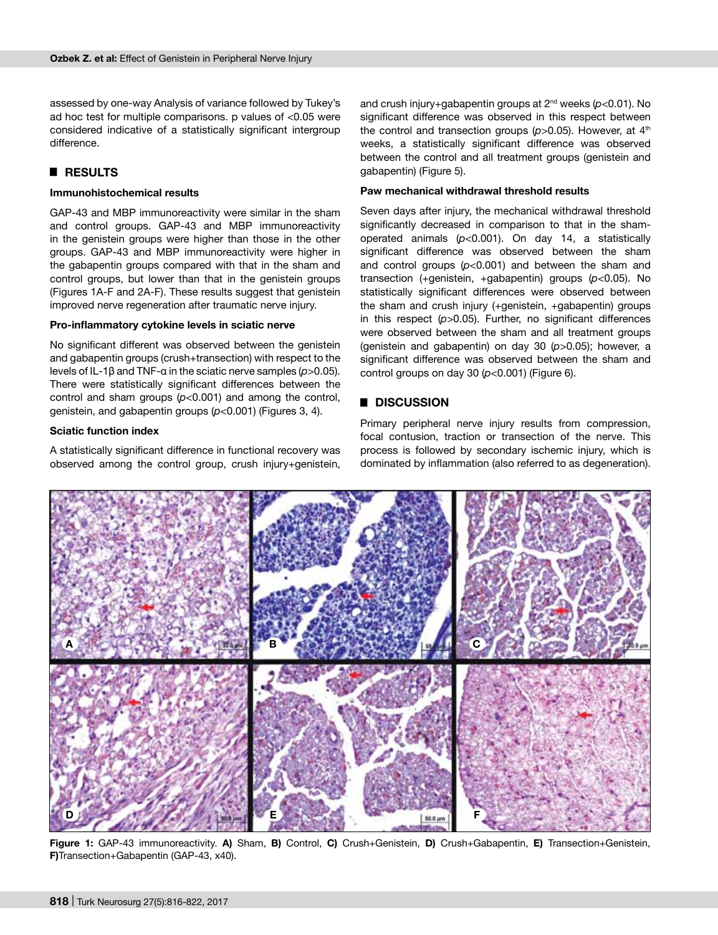assessed by one-way Analysis of variance followed by Tukey's ad hoc test for multiple comparisons. p values of <0.05 were considered indicative of a statistically significant intergroup difference.

# █ **RESULTS**

## **Immunohistochemical results**

GAP-43 and MBP immunoreactivity were similar in the sham and control groups. GAP-43 and MBP immunoreactivity in the genistein groups were higher than those in the other groups. GAP-43 and MBP immunoreactivity were higher in the gabapentin groups compared with that in the sham and control groups, but lower than that in the genistein groups (Figures 1A-F and 2A-F). These results suggest that genistein improved nerve regeneration after traumatic nerve injury.

## **Pro-inflammatory cytokine levels in sciatic nerve**

No significant different was observed between the genistein and gabapentin groups (crush+transection) with respect to the levels of IL-1β and TNF-α in the sciatic nerve samples (*p*>0.05). There were statistically significant differences between the control and sham groups (*p*<0.001) and among the control, genistein, and gabapentin groups (*p*<0.001) (Figures 3, 4).

## **Sciatic function index**

A statistically significant difference in functional recovery was observed among the control group, crush injury+genistein,

and crush injury+gabapentin groups at 2<sup>nd</sup> weeks (p<0.01). No significant difference was observed in this respect between the control and transection groups ( $p$ >0.05). However, at 4<sup>th</sup> weeks, a statistically significant difference was observed between the control and all treatment groups (genistein and gabapentin) (Figure 5).

## **Paw mechanical withdrawal threshold results**

Seven days after injury, the mechanical withdrawal threshold significantly decreased in comparison to that in the shamoperated animals (*p*<0.001). On day 14, a statistically significant difference was observed between the sham and control groups (*p*<0.001) and between the sham and transection (+genistein, +gabapentin) groups (*p*<0.05). No statistically significant differences were observed between the sham and crush injury (+genistein, +gabapentin) groups in this respect (*p*>0.05). Further, no significant differences were observed between the sham and all treatment groups (genistein and gabapentin) on day 30 (*p*>0.05); however, a significant difference was observed between the sham and control groups on day 30 (*p*<0.001) (Figure 6).

# █ **DISCUSSION**

Primary peripheral nerve injury results from compression, focal contusion, traction or transection of the nerve. This process is followed by secondary ischemic injury, which is dominated by inflammation (also referred to as degeneration).



**Figure 1:** GAP-43 immunoreactivity. **A)** Sham, **B)** Control, **C)** Crush+Genistein, **D)** Crush+Gabapentin, **E)** Transection+Genistein, **F)**Transection+Gabapentin (GAP-43, x40).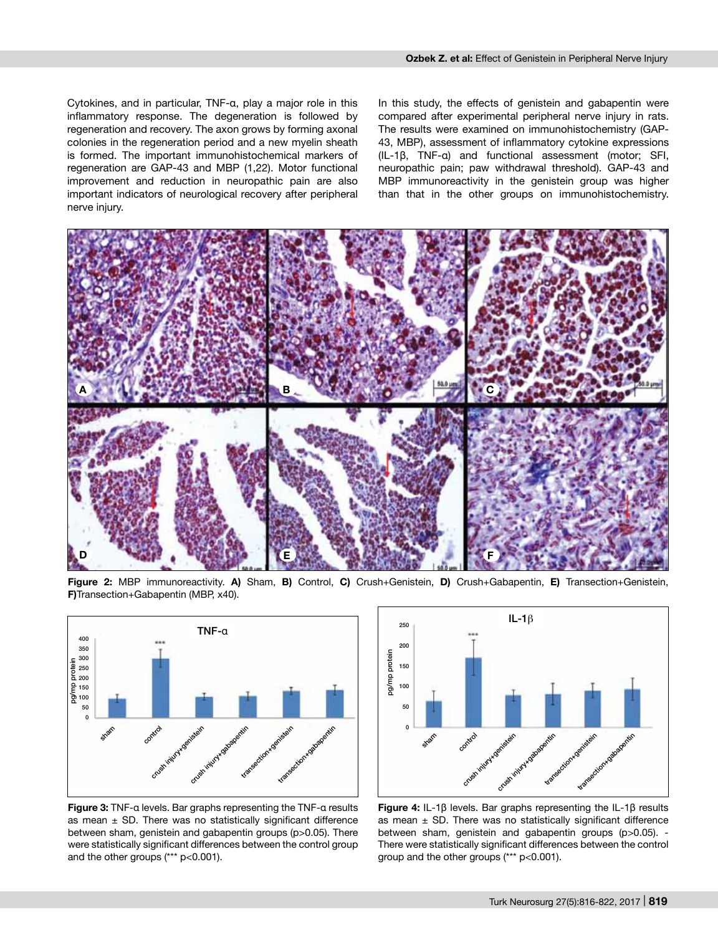Cytokines, and in particular, TNF-α, play a major role in this inflammatory response. The degeneration is followed by regeneration and recovery. The axon grows by forming axonal colonies in the regeneration period and a new myelin sheath is formed. The important immunohistochemical markers of regeneration are GAP-43 and MBP (1,22). Motor functional improvement and reduction in neuropathic pain are also important indicators of neurological recovery after peripheral nerve injury.

In this study, the effects of genistein and gabapentin were compared after experimental peripheral nerve injury in rats. The results were examined on immunohistochemistry (GAP-43, MBP), assessment of inflammatory cytokine expressions (IL-1β, TNF-α) and functional assessment (motor; SFI, neuropathic pain; paw withdrawal threshold). GAP-43 and MBP immunoreactivity in the genistein group was higher than that in the other groups on immunohistochemistry.



**Figure 2:** MBP immunoreactivity. **A)** Sham, **B)** Control, **C)** Crush+Genistein, **D)** Crush+Gabapentin, **E)** Transection+Genistein, **F)**Transection+Gabapentin (MBP, x40).



**Figure 3:** TNF-α levels. Bar graphs representing the TNF-α results as mean  $\pm$  SD. There was no statistically significant difference between sham, genistein and gabapentin groups (p>0.05). There were statistically significant differences between the control group and the other groups (\*\*\* p<0.001).



**Figure 4:** IL-1β levels. Bar graphs representing the IL-1β results as mean  $\pm$  SD. There was no statistically significant difference between sham, genistein and gabapentin groups (p>0.05). - There were statistically significant differences between the control group and the other groups (\*\*\* p<0.001).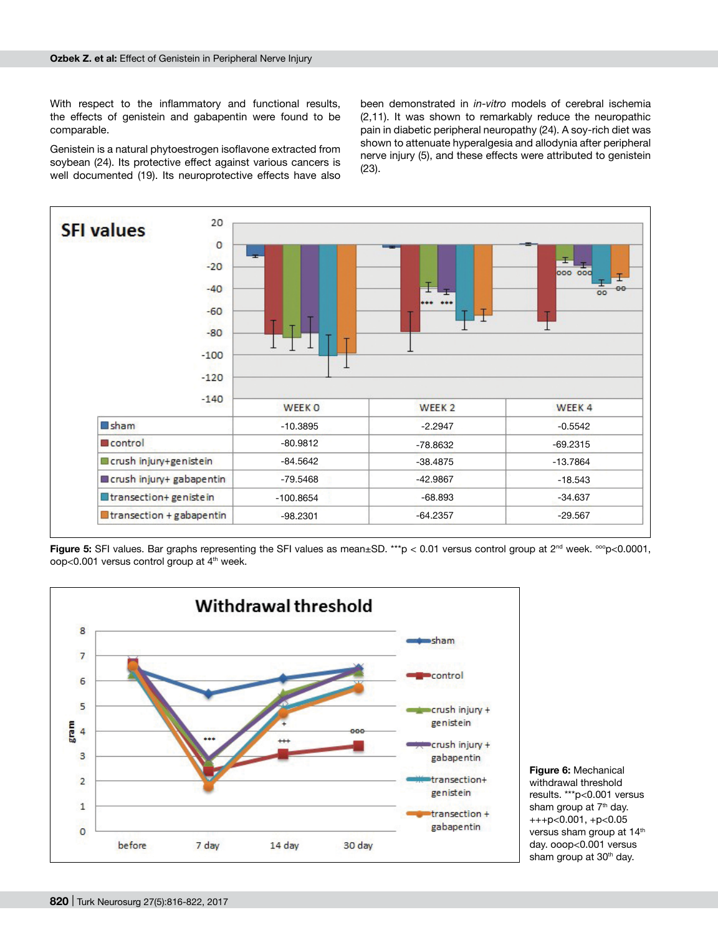With respect to the inflammatory and functional results, the effects of genistein and gabapentin were found to be comparable.

Genistein is a natural phytoestrogen isoflavone extracted from soybean (24). Its protective effect against various cancers is well documented (19). Its neuroprotective effects have also been demonstrated in *in-vitro* models of cerebral ischemia (2,11). It was shown to remarkably reduce the neuropathic pain in diabetic peripheral neuropathy (24). A soy-rich diet was shown to attenuate hyperalgesia and allodynia after peripheral nerve injury (5), and these effects were attributed to genistein (23).



Figure 5: SFI values. Bar graphs representing the SFI values as mean±SD. \*\*\*p < 0.01 versus control group at 2<sup>nd</sup> week. <sup>ooo</sup>p<0.0001, oop<0.001 versus control group at 4<sup>th</sup> week.



**Figure 6:** Mechanical withdrawal threshold results. \*\*\*p<0.001 versus sham group at 7<sup>th</sup> day. +++p<0.001, +p<0.05 versus sham group at 14<sup>th</sup> day. ooop<0.001 versus sham group at 30<sup>th</sup> day.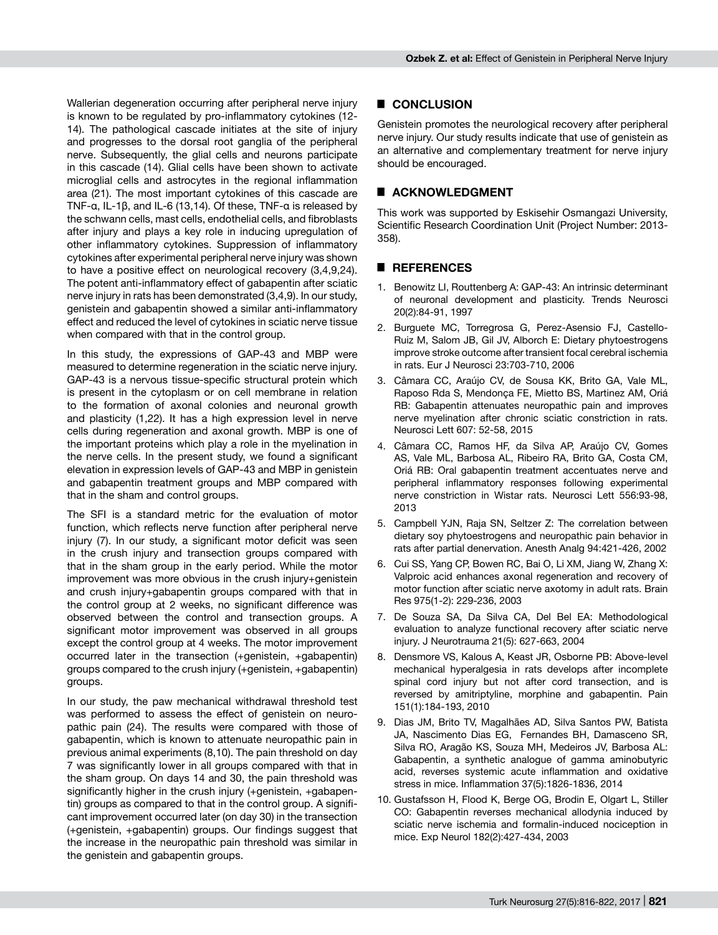Wallerian degeneration occurring after peripheral nerve injury is known to be regulated by pro-inflammatory cytokines (12- 14). The pathological cascade initiates at the site of injury and progresses to the dorsal root ganglia of the peripheral nerve. Subsequently, the glial cells and neurons participate in this cascade (14). Glial cells have been shown to activate microglial cells and astrocytes in the regional inflammation area (21). The most important cytokines of this cascade are TNF-α, IL-1β, and IL-6 (13,14). Of these, TNF-α is released by the schwann cells, mast cells, endothelial cells, and fibroblasts after injury and plays a key role in inducing upregulation of other inflammatory cytokines. Suppression of inflammatory cytokines after experimental peripheral nerve injury was shown to have a positive effect on neurological recovery (3,4,9,24). The potent anti-inflammatory effect of gabapentin after sciatic nerve injury in rats has been demonstrated (3,4,9). In our study, genistein and gabapentin showed a similar anti-inflammatory effect and reduced the level of cytokines in sciatic nerve tissue when compared with that in the control group.

In this study, the expressions of GAP-43 and MBP were measured to determine regeneration in the sciatic nerve injury. GAP-43 is a nervous tissue-specific structural protein which is present in the cytoplasm or on cell membrane in relation to the formation of axonal colonies and neuronal growth and plasticity (1,22). It has a high expression level in nerve cells during regeneration and axonal growth. MBP is one of the important proteins which play a role in the myelination in the nerve cells. In the present study, we found a significant elevation in expression levels of GAP-43 and MBP in genistein and gabapentin treatment groups and MBP compared with that in the sham and control groups.

The SFI is a standard metric for the evaluation of motor function, which reflects nerve function after peripheral nerve injury (7). In our study, a significant motor deficit was seen in the crush injury and transection groups compared with that in the sham group in the early period. While the motor improvement was more obvious in the crush injury+genistein and crush injury+gabapentin groups compared with that in the control group at 2 weeks, no significant difference was observed between the control and transection groups. A significant motor improvement was observed in all groups except the control group at 4 weeks. The motor improvement occurred later in the transection (+genistein, +gabapentin) groups compared to the crush injury (+genistein, +gabapentin) groups.

In our study, the paw mechanical withdrawal threshold test was performed to assess the effect of genistein on neuropathic pain (24). The results were compared with those of gabapentin, which is known to attenuate neuropathic pain in previous animal experiments (8,10). The pain threshold on day 7 was significantly lower in all groups compared with that in the sham group. On days 14 and 30, the pain threshold was significantly higher in the crush injury (+genistein, +gabapentin) groups as compared to that in the control group. A significant improvement occurred later (on day 30) in the transection (+genistein, +gabapentin) groups. Our findings suggest that the increase in the neuropathic pain threshold was similar in the genistein and gabapentin groups.

# █ **CONCLUSION**

Genistein promotes the neurological recovery after peripheral nerve injury. Our study results indicate that use of genistein as an alternative and complementary treatment for nerve injury should be encouraged.

# ■ **ACKNOWLEDGMENT**

This work was supported by Eskisehir Osmangazi University, Scientific Research Coordination Unit (Project Number: 2013- 358).

# █ **REFERENCES**

- 1. Benowitz LI, Routtenberg A: GAP-43: An intrinsic determinant of neuronal development and plasticity. Trends Neurosci 20(2):84-91, 1997
- 2. Burguete MC, Torregrosa G, Perez-Asensio FJ, Castello-Ruiz M, Salom JB, Gil JV, Alborch E: Dietary phytoestrogens improve stroke outcome after transient focal cerebral ischemia in rats. Eur J Neurosci 23:703-710, 2006
- 3. Câmara CC, Araújo CV, de Sousa KK, Brito GA, Vale ML, Raposo Rda S, Mendonça FE, Mietto BS, Martinez AM, Oriá RB: Gabapentin attenuates neuropathic pain and improves nerve myelination after chronic sciatic constriction in rats. Neurosci Lett 607: 52-58, 2015
- 4. Câmara CC, Ramos HF, da Silva AP, Araújo CV, Gomes AS, Vale ML, Barbosa AL, Ribeiro RA, Brito GA, Costa CM, Oriá RB: Oral gabapentin treatment accentuates nerve and peripheral inflammatory responses following experimental nerve constriction in Wistar rats. Neurosci Lett 556:93-98, 2013
- 5. Campbell YJN, Raja SN, Seltzer Z: The correlation between dietary soy phytoestrogens and neuropathic pain behavior in rats after partial denervation. Anesth Analg 94:421-426, 2002
- 6. Cui SS, Yang CP, Bowen RC, Bai O, Li XM, Jiang W, Zhang X: Valproic acid enhances axonal regeneration and recovery of motor function after sciatic nerve axotomy in adult rats. Brain Res 975(1-2): 229-236, 2003
- 7. De Souza SA, Da Silva CA, Del Bel EA: Methodological evaluation to analyze functional recovery after sciatic nerve injury. J Neurotrauma 21(5): 627-663, 2004
- 8. Densmore VS, Kalous A, Keast JR, Osborne PB: Above-level mechanical hyperalgesia in rats develops after incomplete spinal cord injury but not after cord transection, and is reversed by amitriptyline, morphine and gabapentin. Pain 151(1):184-193, 2010
- 9. Dias JM, Brito TV, Magalhães AD, Silva Santos PW, Batista JA, Nascimento Dias EG, Fernandes BH, Damasceno SR, Silva RO, Aragão KS, Souza MH, Medeiros JV, Barbosa AL: Gabapentin, a synthetic analogue of gamma aminobutyric acid, reverses systemic acute inflammation and oxidative stress in mice. Inflammation 37(5):1826-1836, 2014
- 10. Gustafsson H, Flood K, Berge OG, Brodin E, Olgart L, Stiller CO: Gabapentin reverses mechanical allodynia induced by sciatic nerve ischemia and formalin-induced nociception in mice. Exp Neurol 182(2):427-434, 2003